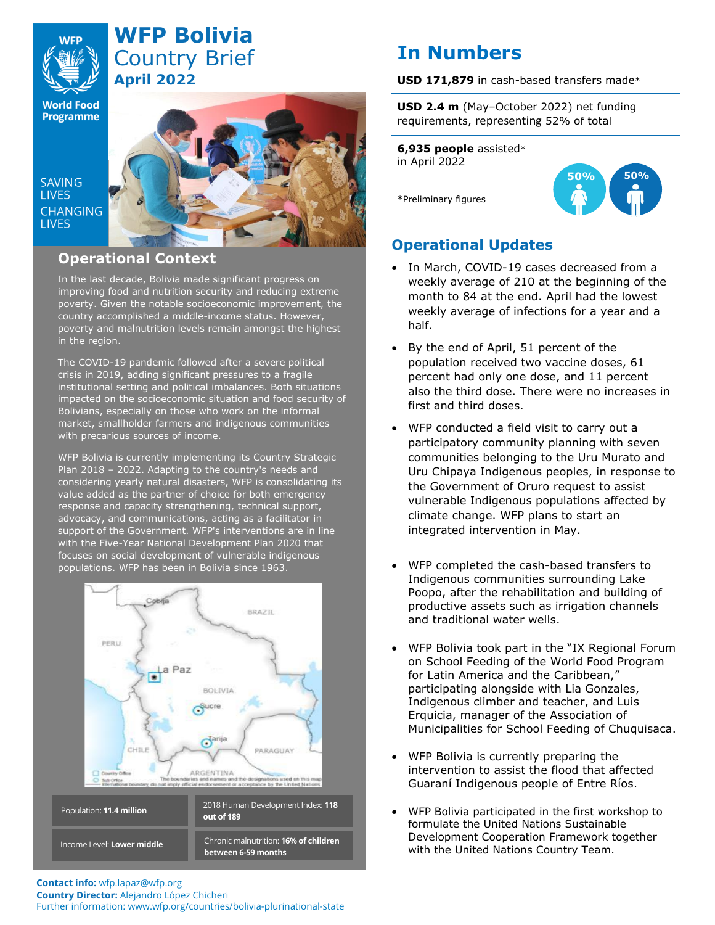# **WFP Bolivia** Country Brief **April 2022**

**World Food**<br>Programme

**SAVING LIVES CHANGING LIVES** 



## **Operational Context**

In the last decade, Bolivia made significant progress on improving food and nutrition security and reducing extreme poverty. Given the notable socioeconomic improvement, the country accomplished a middle-income status. However, poverty and malnutrition levels remain amongst the highest in the region.

The COVID-19 pandemic followed after a severe political crisis in 2019, adding significant pressures to a fragile institutional setting and political imbalances. Both situations impacted on the socioeconomic situation and food security of Bolivians, especially on those who work on the informal market, smallholder farmers and indigenous communities with precarious sources of income.

WFP Bolivia is currently implementing its Country Strategic Plan 2018 – 2022. Adapting to the country's needs and considering yearly natural disasters, WFP is consolidating its value added as the partner of choice for both emergency response and capacity strengthening, technical support, advocacy, and communications, acting as a facilitator in support of the Government. WFP's interventions are in line with the Five-Year National Development Plan 2020 that focuses on social development of vulnerable indigenous populations. WFP has been in Bolivia since 1963.



# **USD 2.4 m** (May–October 2022) net funding

requirements, representing 52% of total

**USD 171,879** in cash-based transfers made\*

**6,935 people** assisted\* in April 2022

**In Numbers**

\*Preliminary figures



# **Operational Updates**

- In March, COVID-19 cases decreased from a weekly average of 210 at the beginning of the month to 84 at the end. April had the lowest weekly average of infections for a year and a half.
- By the end of April, 51 percent of the population received two vaccine doses, 61 percent had only one dose, and 11 percent also the third dose. There were no increases in first and third doses.
- WFP conducted a field visit to carry out a participatory community planning with seven communities belonging to the Uru Murato and Uru Chipaya Indigenous peoples, in response to the Government of Oruro request to assist vulnerable Indigenous populations affected by climate change. WFP plans to start an integrated intervention in May.
- WFP completed the cash-based transfers to Indigenous communities surrounding Lake Poopo, after the rehabilitation and building of productive assets such as irrigation channels and traditional water wells.
- WFP Bolivia took part in the "IX Regional Forum on School Feeding of the World Food Program for Latin America and the Caribbean," participating alongside with Lia Gonzales, Indigenous climber and teacher, and Luis Erquicia, manager of the Association of Municipalities for School Feeding of Chuquisaca.
- WFP Bolivia is currently preparing the intervention to assist the flood that affected Guaraní Indigenous people of Entre Ríos.
- WFP Bolivia participated in the first workshop to formulate the United Nations Sustainable Development Cooperation Framework together with the United Nations Country Team.
- **Contact info:** wfp.lapaz@wfp.org **Country Director:** Alejandro López Chicheri Further information: www.wfp.org/countries/bolivia-plurinational-state